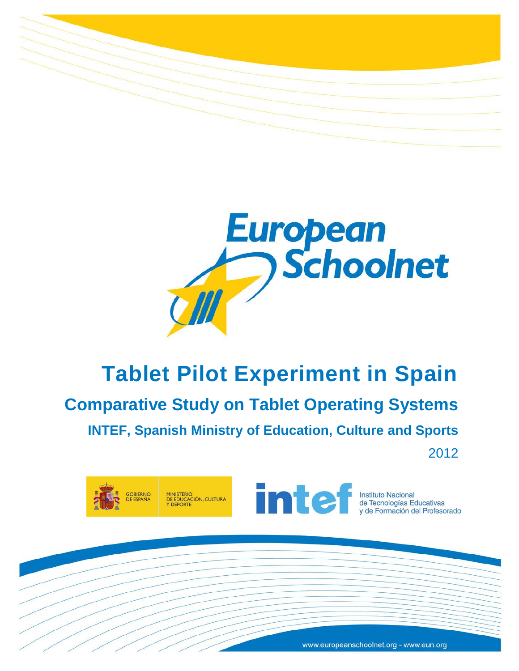



# **Tablet Pilot Experiment in Spain**

**Comparative Study on Tablet Operating Systems INTEF, Spanish Ministry of Education, Culture and Sports**

2012



www.europeanschoolnet.org - www.eun.org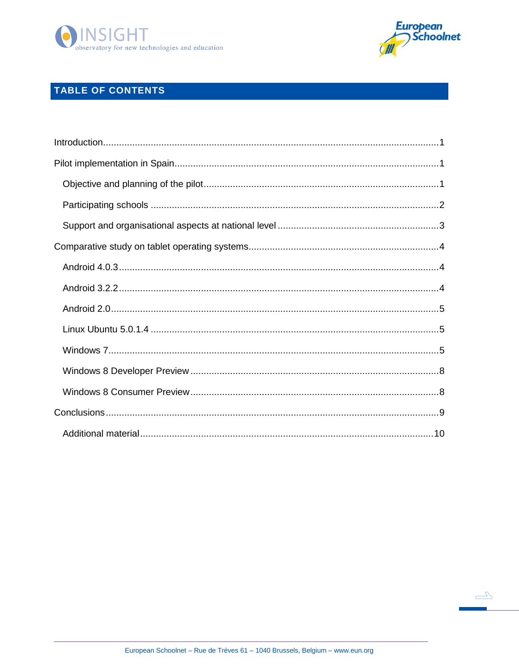



 $\sqrt{2}$ 

## TABLE OF CONTENTS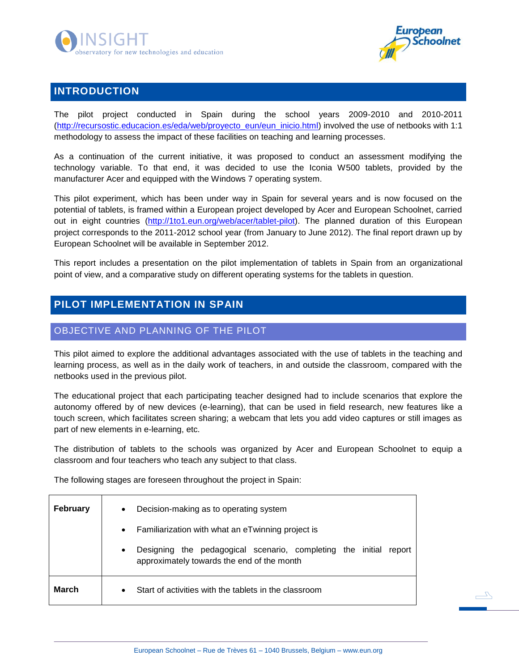



 $\sqrt{2}$ 

## <span id="page-2-0"></span>**INTRODUCTION**

The pilot project conducted in Spain during the school years 2009-2010 and 2010-2011 [\(http://recursostic.educacion.es/eda/web/proyecto\\_eun/eun\\_inicio.html\)](http://recursostic.educacion.es/eda/web/proyecto_eun/eun_inicio.html) involved the use of netbooks with 1:1 methodology to assess the impact of these facilities on teaching and learning processes.

As a continuation of the current initiative, it was proposed to conduct an assessment modifying the technology variable. To that end, it was decided to use the Iconia W500 tablets, provided by the manufacturer Acer and equipped with the Windows 7 operating system.

This pilot experiment, which has been under way in Spain for several years and is now focused on the potential of tablets, is framed within a European project developed by Acer and European Schoolnet, carried out in eight countries [\(http://1to1.eun.org/web/acer/tablet-pilot\)](http://1to1.eun.org/web/acer/tablet-pilot). The planned duration of this European project corresponds to the 2011-2012 school year (from January to June 2012). The final report drawn up by European Schoolnet will be available in September 2012.

This report includes a presentation on the pilot implementation of tablets in Spain from an organizational point of view, and a comparative study on different operating systems for the tablets in question.

## <span id="page-2-1"></span>**PILOT IMPLEMENTATION IN SPAIN**

## <span id="page-2-2"></span>OBJECTIVE AND PLANNING OF THE PILOT

This pilot aimed to explore the additional advantages associated with the use of tablets in the teaching and learning process, as well as in the daily work of teachers, in and outside the classroom, compared with the netbooks used in the previous pilot.

The educational project that each participating teacher designed had to include scenarios that explore the autonomy offered by of new devices (e-learning), that can be used in field research, new features like a touch screen, which facilitates screen sharing; a webcam that lets you add video captures or still images as part of new elements in e-learning, etc.

The distribution of tablets to the schools was organized by Acer and European Schoolnet to equip a classroom and four teachers who teach any subject to that class.

The following stages are foreseen throughout the project in Spain:

| <b>February</b> | Decision-making as to operating system<br>$\bullet$<br>Familiarization with what an eTwinning project is<br>$\bullet$<br>Designing the pedagogical scenario, completing the initial<br>report<br>$\bullet$<br>approximately towards the end of the month |
|-----------------|----------------------------------------------------------------------------------------------------------------------------------------------------------------------------------------------------------------------------------------------------------|
| <b>March</b>    | Start of activities with the tablets in the classroom<br>$\bullet$                                                                                                                                                                                       |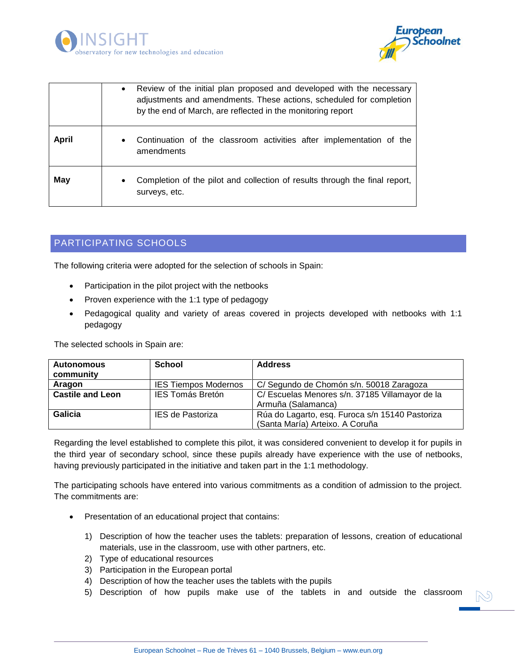



|              | Review of the initial plan proposed and developed with the necessary<br>$\bullet$<br>adjustments and amendments. These actions, scheduled for completion<br>by the end of March, are reflected in the monitoring report |  |  |  |  |
|--------------|-------------------------------------------------------------------------------------------------------------------------------------------------------------------------------------------------------------------------|--|--|--|--|
| <b>April</b> | Continuation of the classroom activities after implementation of the<br>$\bullet$<br>amendments                                                                                                                         |  |  |  |  |
| May          | Completion of the pilot and collection of results through the final report,<br>$\bullet$<br>surveys, etc.                                                                                                               |  |  |  |  |

## <span id="page-3-0"></span>PARTICIPATING SCHOOLS

The following criteria were adopted for the selection of schools in Spain:

- Participation in the pilot project with the netbooks
- Proven experience with the 1:1 type of pedagogy
- Pedagogical quality and variety of areas covered in projects developed with netbooks with 1:1 pedagogy

The selected schools in Spain are:

| <b>Autonomous</b>                                  | <b>School</b>                                                              | <b>Address</b>                                  |
|----------------------------------------------------|----------------------------------------------------------------------------|-------------------------------------------------|
| community                                          |                                                                            |                                                 |
| Aragon                                             | C/ Segundo de Chomón s/n. 50018 Zaragoza                                   |                                                 |
| <b>Castile and Leon</b><br><b>IES Tomás Bretón</b> |                                                                            | C/ Escuelas Menores s/n. 37185 Villamayor de la |
|                                                    |                                                                            | Armuña (Salamanca)                              |
| Galicia                                            | Rúa do Lagarto, esq. Furoca s/n 15140 Pastoriza<br><b>IES de Pastoriza</b> |                                                 |
|                                                    |                                                                            | (Santa María) Arteixo. A Coruña                 |

Regarding the level established to complete this pilot, it was considered convenient to develop it for pupils in the third year of secondary school, since these pupils already have experience with the use of netbooks, having previously participated in the initiative and taken part in the 1:1 methodology.

The participating schools have entered into various commitments as a condition of admission to the project. The commitments are:

- Presentation of an educational project that contains:
	- 1) Description of how the teacher uses the tablets: preparation of lessons, creation of educational materials, use in the classroom, use with other partners, etc.
	- 2) Type of educational resources
	- 3) Participation in the European portal
	- 4) Description of how the teacher uses the tablets with the pupils
	- 5) Description of how pupils make use of the tablets in and outside the classroom

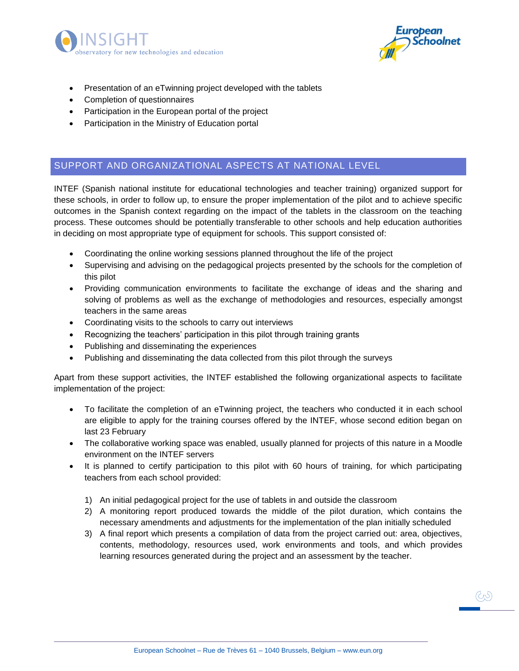



- Presentation of an eTwinning project developed with the tablets
- Completion of questionnaires
- Participation in the European portal of the project
- Participation in the Ministry of Education portal

## <span id="page-4-0"></span>SUPPORT AND ORGANIZATIONAL ASPECTS AT NATIONAL LEVEL

INTEF (Spanish national institute for educational technologies and teacher training) organized support for these schools, in order to follow up, to ensure the proper implementation of the pilot and to achieve specific outcomes in the Spanish context regarding on the impact of the tablets in the classroom on the teaching process. These outcomes should be potentially transferable to other schools and help education authorities in deciding on most appropriate type of equipment for schools. This support consisted of:

- Coordinating the online working sessions planned throughout the life of the project
- Supervising and advising on the pedagogical projects presented by the schools for the completion of this pilot
- Providing communication environments to facilitate the exchange of ideas and the sharing and solving of problems as well as the exchange of methodologies and resources, especially amongst teachers in the same areas
- Coordinating visits to the schools to carry out interviews
- Recognizing the teachers' participation in this pilot through training grants
- Publishing and disseminating the experiences
- Publishing and disseminating the data collected from this pilot through the surveys

Apart from these support activities, the INTEF established the following organizational aspects to facilitate implementation of the project:

- To facilitate the completion of an eTwinning project, the teachers who conducted it in each school are eligible to apply for the training courses offered by the INTEF, whose second edition began on last 23 February
- The collaborative working space was enabled, usually planned for projects of this nature in a Moodle environment on the INTEF servers
- It is planned to certify participation to this pilot with 60 hours of training, for which participating teachers from each school provided:
	- 1) An initial pedagogical project for the use of tablets in and outside the classroom
	- 2) A monitoring report produced towards the middle of the pilot duration, which contains the necessary amendments and adjustments for the implementation of the plan initially scheduled
	- 3) A final report which presents a compilation of data from the project carried out: area, objectives, contents, methodology, resources used, work environments and tools, and which provides learning resources generated during the project and an assessment by the teacher.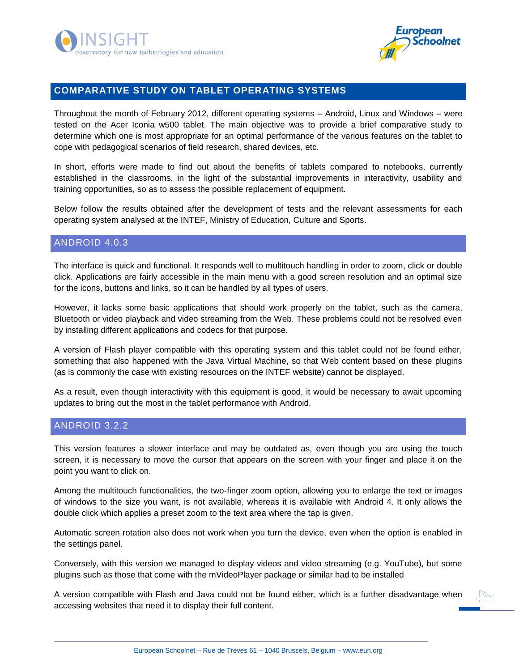



### <span id="page-5-0"></span>**COMPARATIVE STUDY ON TABLET OPERATING SYSTEMS**

Throughout the month of February 2012, different operating systems – Android, Linux and Windows – were tested on the Acer Iconia w500 tablet. The main objective was to provide a brief comparative study to determine which one is most appropriate for an optimal performance of the various features on the tablet to cope with pedagogical scenarios of field research, shared devices, etc.

In short, efforts were made to find out about the benefits of tablets compared to notebooks, currently established in the classrooms, in the light of the substantial improvements in interactivity, usability and training opportunities, so as to assess the possible replacement of equipment.

Below follow the results obtained after the development of tests and the relevant assessments for each operating system analysed at the INTEF, Ministry of Education, Culture and Sports.

#### <span id="page-5-1"></span>ANDROID 4.0.3

The interface is quick and functional. It responds well to multitouch handling in order to zoom, click or double click. Applications are fairly accessible in the main menu with a good screen resolution and an optimal size for the icons, buttons and links, so it can be handled by all types of users.

However, it lacks some basic applications that should work properly on the tablet, such as the camera, Bluetooth or video playback and video streaming from the Web. These problems could not be resolved even by installing different applications and codecs for that purpose.

A version of Flash player compatible with this operating system and this tablet could not be found either, something that also happened with the Java Virtual Machine, so that Web content based on these plugins (as is commonly the case with existing resources on the INTEF website) cannot be displayed.

As a result, even though interactivity with this equipment is good, it would be necessary to await upcoming updates to bring out the most in the tablet performance with Android.

#### <span id="page-5-2"></span>ANDROID 3.2.2

This version features a slower interface and may be outdated as, even though you are using the touch screen, it is necessary to move the cursor that appears on the screen with your finger and place it on the point you want to click on.

Among the multitouch functionalities, the two-finger zoom option, allowing you to enlarge the text or images of windows to the size you want, is not available, whereas it is available with Android 4. It only allows the double click which applies a preset zoom to the text area where the tap is given.

Automatic screen rotation also does not work when you turn the device, even when the option is enabled in the settings panel.

Conversely, with this version we managed to display videos and video streaming (e.g. YouTube), but some plugins such as those that come with the mVideoPlayer package or similar had to be installed

A version compatible with Flash and Java could not be found either, which is a further disadvantage when accessing websites that need it to display their full content.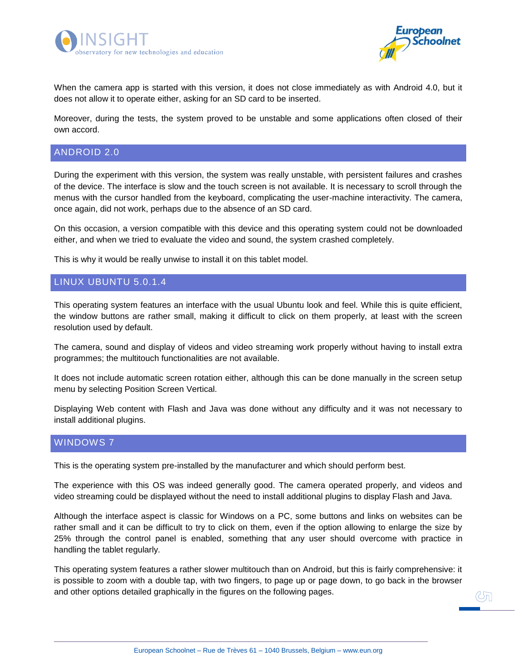



When the camera app is started with this version, it does not close immediately as with Android 4.0, but it does not allow it to operate either, asking for an SD card to be inserted.

Moreover, during the tests, the system proved to be unstable and some applications often closed of their own accord.

#### <span id="page-6-0"></span>ANDROID 2.0

During the experiment with this version, the system was really unstable, with persistent failures and crashes of the device. The interface is slow and the touch screen is not available. It is necessary to scroll through the menus with the cursor handled from the keyboard, complicating the user-machine interactivity. The camera, once again, did not work, perhaps due to the absence of an SD card.

On this occasion, a version compatible with this device and this operating system could not be downloaded either, and when we tried to evaluate the video and sound, the system crashed completely.

This is why it would be really unwise to install it on this tablet model.

#### <span id="page-6-1"></span>LINUX UBUNTU 5.0.1.4

This operating system features an interface with the usual Ubuntu look and feel. While this is quite efficient, the window buttons are rather small, making it difficult to click on them properly, at least with the screen resolution used by default.

The camera, sound and display of videos and video streaming work properly without having to install extra programmes; the multitouch functionalities are not available.

It does not include automatic screen rotation either, although this can be done manually in the screen setup menu by selecting Position Screen Vertical.

Displaying Web content with Flash and Java was done without any difficulty and it was not necessary to install additional plugins.

#### <span id="page-6-2"></span>WINDOWS 7

This is the operating system pre-installed by the manufacturer and which should perform best.

The experience with this OS was indeed generally good. The camera operated properly, and videos and video streaming could be displayed without the need to install additional plugins to display Flash and Java.

Although the interface aspect is classic for Windows on a PC, some buttons and links on websites can be rather small and it can be difficult to try to click on them, even if the option allowing to enlarge the size by 25% through the control panel is enabled, something that any user should overcome with practice in handling the tablet regularly.

This operating system features a rather slower multitouch than on Android, but this is fairly comprehensive: it is possible to zoom with a double tap, with two fingers, to page up or page down, to go back in the browser and other options detailed graphically in the figures on the following pages.

 $\mathbb{C}$ n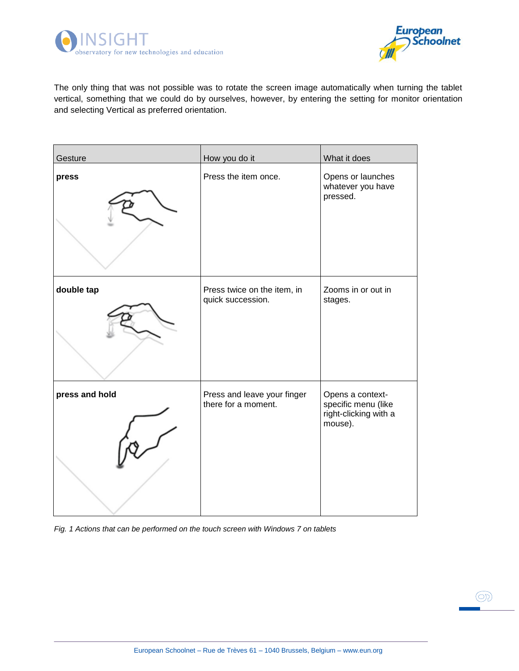



 $\circledcirc$ 

The only thing that was not possible was to rotate the screen image automatically when turning the tablet vertical, something that we could do by ourselves, however, by entering the setting for monitor orientation and selecting Vertical as preferred orientation.

| Gesture        | How you do it                                      | What it does                                                                |
|----------------|----------------------------------------------------|-----------------------------------------------------------------------------|
| press          | Press the item once.                               | Opens or launches<br>whatever you have<br>pressed.                          |
| double tap     | Press twice on the item, in<br>quick succession.   | Zooms in or out in<br>stages.                                               |
| press and hold | Press and leave your finger<br>there for a moment. | Opens a context-<br>specific menu (like<br>right-clicking with a<br>mouse). |

*Fig. 1 Actions that can be performed on the touch screen with Windows 7 on tablets*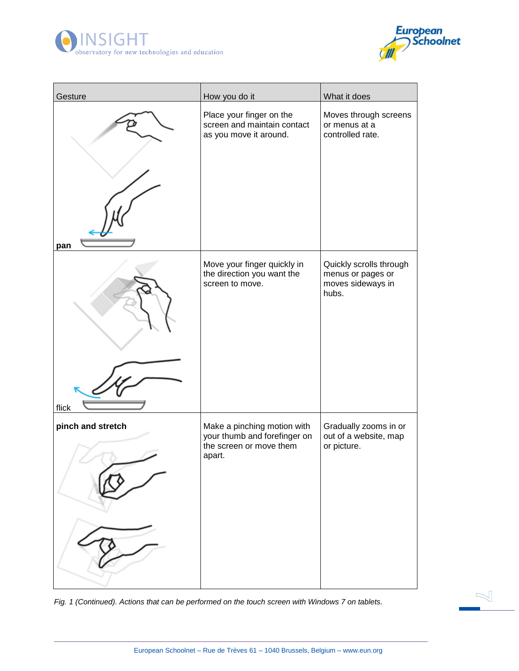



 $\mathbb{R}$ 

| Gesture           | How you do it                                                                                    | What it does                                                               |
|-------------------|--------------------------------------------------------------------------------------------------|----------------------------------------------------------------------------|
| pan               | Place your finger on the<br>screen and maintain contact<br>as you move it around.                | Moves through screens<br>or menus at a<br>controlled rate.                 |
| flick             | Move your finger quickly in<br>the direction you want the<br>screen to move.                     | Quickly scrolls through<br>menus or pages or<br>moves sideways in<br>hubs. |
| pinch and stretch | Make a pinching motion with<br>your thumb and forefinger on<br>the screen or move them<br>apart. | Gradually zooms in or<br>out of a website, map<br>or picture.              |

*Fig. 1 (Continued). Actions that can be performed on the touch screen with Windows 7 on tablets.*

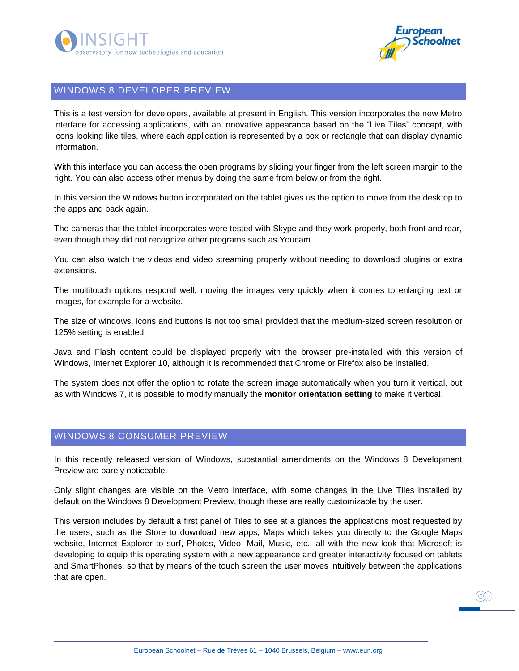



#### <span id="page-9-0"></span>WINDOWS 8 DEVELOPER PREVIEW

This is a test version for developers, available at present in English. This version incorporates the new Metro interface for accessing applications, with an innovative appearance based on the "Live Tiles" concept, with icons looking like tiles, where each application is represented by a box or rectangle that can display dynamic information.

With this interface you can access the open programs by sliding your finger from the left screen margin to the right. You can also access other menus by doing the same from below or from the right.

In this version the Windows button incorporated on the tablet gives us the option to move from the desktop to the apps and back again.

The cameras that the tablet incorporates were tested with Skype and they work properly, both front and rear, even though they did not recognize other programs such as Youcam.

You can also watch the videos and video streaming properly without needing to download plugins or extra extensions.

The multitouch options respond well, moving the images very quickly when it comes to enlarging text or images, for example for a website.

The size of windows, icons and buttons is not too small provided that the medium-sized screen resolution or 125% setting is enabled.

Java and Flash content could be displayed properly with the browser pre-installed with this version of Windows, Internet Explorer 10, although it is recommended that Chrome or Firefox also be installed.

The system does not offer the option to rotate the screen image automatically when you turn it vertical, but as with Windows 7, it is possible to modify manually the **monitor orientation setting** to make it vertical.

#### <span id="page-9-1"></span>WINDOWS 8 CONSUMER PREVIEW

In this recently released version of Windows, substantial amendments on the Windows 8 Development Preview are barely noticeable.

Only slight changes are visible on the Metro Interface, with some changes in the Live Tiles installed by default on the Windows 8 Development Preview, though these are really customizable by the user.

This version includes by default a first panel of Tiles to see at a glances the applications most requested by the users, such as the Store to download new apps, Maps which takes you directly to the Google Maps website, Internet Explorer to surf, Photos, Video, Mail, Music, etc., all with the new look that Microsoft is developing to equip this operating system with a new appearance and greater interactivity focused on tablets and SmartPhones, so that by means of the touch screen the user moves intuitively between the applications that are open.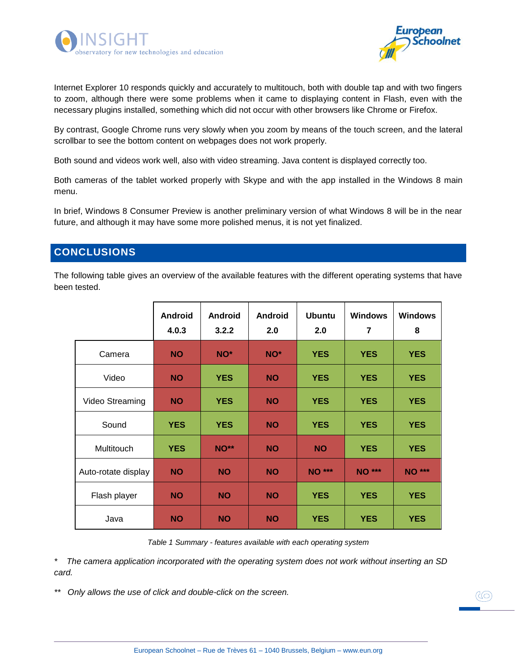



Internet Explorer 10 responds quickly and accurately to multitouch, both with double tap and with two fingers to zoom, although there were some problems when it came to displaying content in Flash, even with the necessary plugins installed, something which did not occur with other browsers like Chrome or Firefox.

By contrast, Google Chrome runs very slowly when you zoom by means of the touch screen, and the lateral scrollbar to see the bottom content on webpages does not work properly.

Both sound and videos work well, also with video streaming. Java content is displayed correctly too.

Both cameras of the tablet worked properly with Skype and with the app installed in the Windows 8 main menu.

In brief, Windows 8 Consumer Preview is another preliminary version of what Windows 8 will be in the near future, and although it may have some more polished menus, it is not yet finalized.

## <span id="page-10-0"></span>**CONCLUSIONS**

The following table gives an overview of the available features with the different operating systems that have been tested.

|                     | <b>Android</b><br>4.0.3 | <b>Android</b><br>3.2.2 | <b>Android</b><br>2.0 | <b>Ubuntu</b><br>2.0 | <b>Windows</b><br>$\overline{7}$ | <b>Windows</b><br>8 |
|---------------------|-------------------------|-------------------------|-----------------------|----------------------|----------------------------------|---------------------|
| Camera              | <b>NO</b>               | NO*                     | NO <sup>*</sup>       | <b>YES</b>           | <b>YES</b>                       | <b>YES</b>          |
| Video               | <b>NO</b>               | <b>YES</b>              | <b>NO</b>             | <b>YES</b>           | <b>YES</b>                       | <b>YES</b>          |
| Video Streaming     | <b>NO</b>               | <b>YES</b>              | <b>NO</b>             | <b>YES</b>           | <b>YES</b>                       | <b>YES</b>          |
| Sound               | <b>YES</b>              | <b>YES</b>              | <b>NO</b>             | <b>YES</b>           | <b>YES</b>                       | <b>YES</b>          |
| Multitouch          | <b>YES</b>              | <b>NO**</b>             | <b>NO</b>             | <b>NO</b>            | <b>YES</b>                       | <b>YES</b>          |
| Auto-rotate display | <b>NO</b>               | <b>NO</b>               | <b>NO</b>             | <b>NO ***</b>        | <b>NO ***</b>                    | <b>NO</b> ***       |
| Flash player        | <b>NO</b>               | <b>NO</b>               | <b>NO</b>             | <b>YES</b>           | <b>YES</b>                       | <b>YES</b>          |
| Java                | <b>NO</b>               | <b>NO</b>               | <b>NO</b>             | <b>YES</b>           | <b>YES</b>                       | <b>YES</b>          |

*Table 1 Summary - features available with each operating system*

*\* The camera application incorporated with the operating system does not work without inserting an SD card.*

*\*\* Only allows the use of click and double-click on the screen.*